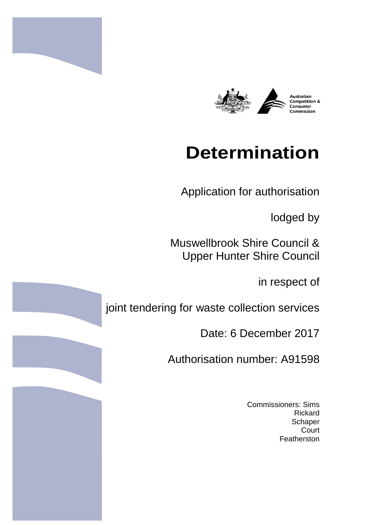



# **Determination**

Application for authorisation

lodged by

Muswellbrook Shire Council & Upper Hunter Shire Council

in respect of

joint tendering for waste collection services

Date: 6 December 2017

Authorisation number: A91598

Commissioners: Sims Rickard **Schaper Court** Featherston

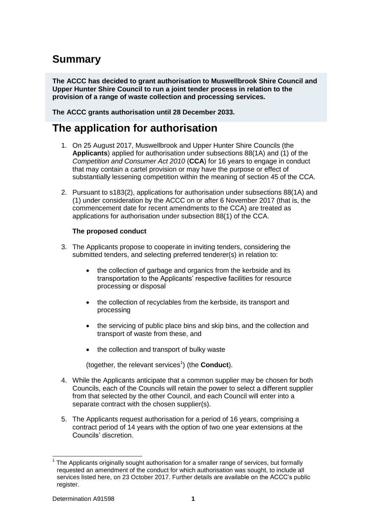# **Summary**

**The ACCC has decided to grant authorisation to Muswellbrook Shire Council and Upper Hunter Shire Council to run a joint tender process in relation to the provision of a range of waste collection and processing services.** 

**The ACCC grants authorisation until 28 December 2033.**

## **The application for authorisation**

- 1. On 25 August 2017, Muswellbrook and Upper Hunter Shire Councils (the **Applicants**) applied for authorisation under subsections 88(1A) and (1) of the *Competition and Consumer Act 2010* (**CCA**) for 16 years to engage in conduct that may contain a cartel provision or may have the purpose or effect of substantially lessening competition within the meaning of section 45 of the CCA.
- 2. Pursuant to s183(2), applications for authorisation under subsections 88(1A) and (1) under consideration by the ACCC on or after 6 November 2017 (that is, the commencement date for recent amendments to the CCA) are treated as applications for authorisation under subsection 88(1) of the CCA.

#### **The proposed conduct**

- 3. The Applicants propose to cooperate in inviting tenders, considering the submitted tenders, and selecting preferred tenderer(s) in relation to:
	- the collection of garbage and organics from the kerbside and its transportation to the Applicants' respective facilities for resource processing or disposal
	- the collection of recyclables from the kerbside, its transport and processing
	- the servicing of public place bins and skip bins, and the collection and transport of waste from these, and
	- the collection and transport of bulky waste

(together, the relevant services<sup>1</sup>) (the **Conduct**).

- 4. While the Applicants anticipate that a common supplier may be chosen for both Councils, each of the Councils will retain the power to select a different supplier from that selected by the other Council, and each Council will enter into a separate contract with the chosen supplier(s).
- 5. The Applicants request authorisation for a period of 16 years, comprising a contract period of 14 years with the option of two one year extensions at the Councils' discretion.

 $\overline{a}$ 1 The Applicants originally sought authorisation for a smaller range of services, but formally requested an amendment of the conduct for which authorisation was sought, to include all services listed here, on 23 October 2017. Further details are available on the ACCC's public register.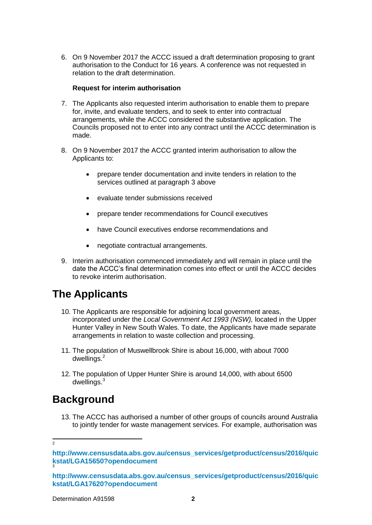6. On 9 November 2017 the ACCC issued a draft determination proposing to grant authorisation to the Conduct for 16 years. A conference was not requested in relation to the draft determination.

#### **Request for interim authorisation**

- 7. The Applicants also requested interim authorisation to enable them to prepare for, invite, and evaluate tenders, and to seek to enter into contractual arrangements, while the ACCC considered the substantive application. The Councils proposed not to enter into any contract until the ACCC determination is made.
- 8. On 9 November 2017 the ACCC granted interim authorisation to allow the Applicants to:
	- prepare tender documentation and invite tenders in relation to the services outlined at paragraph 3 above
	- evaluate tender submissions received
	- prepare tender recommendations for Council executives
	- have Council executives endorse recommendations and
	- negotiate contractual arrangements.
- 9. Interim authorisation commenced immediately and will remain in place until the date the ACCC's final determination comes into effect or until the ACCC decides to revoke interim authorisation.

### **The Applicants**

- 10. The Applicants are responsible for adjoining local government areas, incorporated under the *Local Government Act 1993 (NSW),* located in the Upper Hunter Valley in New South Wales. To date, the Applicants have made separate arrangements in relation to waste collection and processing.
- 11. The population of Muswellbrook Shire is about 16,000, with about 7000  $d$ wellings. $<sup>2</sup>$ </sup>
- 12. The population of Upper Hunter Shire is around 14,000, with about 6500 dwellings.<sup>3</sup>

### **Background**

13. The ACCC has authorised a number of other groups of councils around Australia to jointly tender for waste management services. For example, authorisation was

 $\frac{1}{2}$ 

**[http://www.censusdata.abs.gov.au/census\\_services/getproduct/census/2016/quic](http://www.censusdata.abs.gov.au/census_services/getproduct/census/2016/quickstat/LGA15650?opendocument) [kstat/LGA15650?opendocument](http://www.censusdata.abs.gov.au/census_services/getproduct/census/2016/quickstat/LGA15650?opendocument)** 3

**[http://www.censusdata.abs.gov.au/census\\_services/getproduct/census/2016/quic](http://www.censusdata.abs.gov.au/census_services/getproduct/census/2016/quickstat/LGA17620?opendocument) [kstat/LGA17620?opendocument](http://www.censusdata.abs.gov.au/census_services/getproduct/census/2016/quickstat/LGA17620?opendocument)**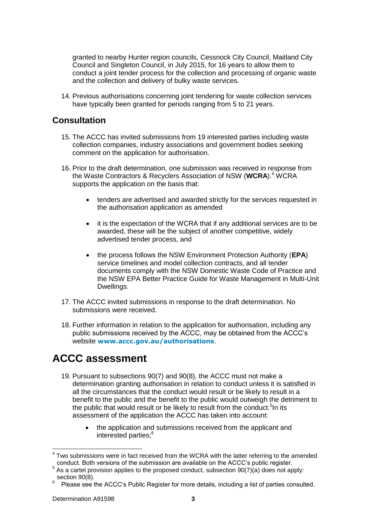granted to nearby Hunter region councils, Cessnock City Council, Maitland City Council and Singleton Council, in July 2015, for 16 years to allow them to conduct a joint tender process for the collection and processing of organic waste and the collection and delivery of bulky waste services.

14. Previous authorisations concerning joint tendering for waste collection services have typically been granted for periods ranging from 5 to 21 years.

### **Consultation**

- 15. The ACCC has invited submissions from 19 interested parties including waste collection companies, industry associations and government bodies seeking comment on the application for authorisation.
- 16. Prior to the draft determination, one submission was received in response from the Waste Contractors & Recyclers Association of NSW (**WCRA**).<sup>4</sup> WCRA supports the application on the basis that:
	- tenders are advertised and awarded strictly for the services requested in the authorisation application as amended
	- it is the expectation of the WCRA that if any additional services are to be awarded, these will be the subject of another competitive, widely advertised tender process, and
	- the process follows the NSW Environment Protection Authority (**EPA**) service timelines and model collection contracts, and all tender documents comply with the NSW Domestic Waste Code of Practice and the NSW EPA Better Practice Guide for Waste Management in Multi-Unit Dwellings.
- 17. The ACCC invited submissions in response to the draft determination. No submissions were received.
- 18. Further information in relation to the application for authorisation, including any public submissions received by the ACCC, may be obtained from the ACCC's website **[www.accc.gov.au/authorisations](http://www.accc.gov.au/authorisations)**.

# **ACCC assessment**

- 19. Pursuant to subsections 90(7) and 90(8), the ACCC must not make a determination granting authorisation in relation to conduct unless it is satisfied in all the circumstances that the conduct would result or be likely to result in a benefit to the public and the benefit to the public would outweigh the detriment to the public that would result or be likely to result from the conduct.<sup>5</sup>In its assessment of the application the ACCC has taken into account:
	- the application and submissions received from the applicant and interested parties; 6

 $\overline{\phantom{a}}$  $4$  Two submissions were in fact received from the WCRA with the latter referring to the amended conduct. Both versions of the submission are available on the ACCC's public register.

 $5$  As a cartel provision applies to the proposed conduct, subsection 90(7)(a) does not apply: section 90(8).

<sup>6</sup> Please see the ACCC's Public Register for more details, including a list of parties consulted.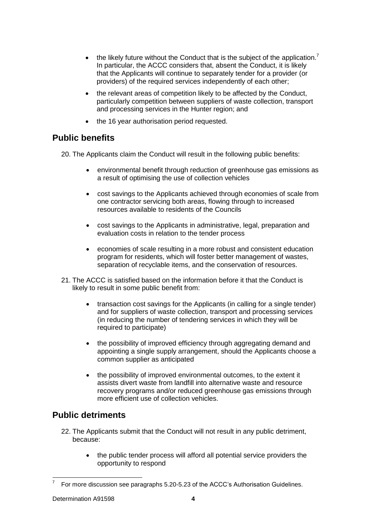- $\bullet$  the likely future without the Conduct that is the subject of the application.<sup>7</sup> In particular, the ACCC considers that, absent the Conduct, it is likely that the Applicants will continue to separately tender for a provider (or providers) of the required services independently of each other;
- the relevant areas of competition likely to be affected by the Conduct, particularly competition between suppliers of waste collection, transport and processing services in the Hunter region; and
- the 16 year authorisation period requested.

### **Public benefits**

20. The Applicants claim the Conduct will result in the following public benefits:

- environmental benefit through reduction of greenhouse gas emissions as a result of optimising the use of collection vehicles
- cost savings to the Applicants achieved through economies of scale from one contractor servicing both areas, flowing through to increased resources available to residents of the Councils
- cost savings to the Applicants in administrative, legal, preparation and evaluation costs in relation to the tender process
- economies of scale resulting in a more robust and consistent education program for residents, which will foster better management of wastes, separation of recyclable items, and the conservation of resources.
- 21. The ACCC is satisfied based on the information before it that the Conduct is likely to result in some public benefit from:
	- transaction cost savings for the Applicants (in calling for a single tender) and for suppliers of waste collection, transport and processing services (in reducing the number of tendering services in which they will be required to participate)
	- the possibility of improved efficiency through aggregating demand and appointing a single supply arrangement, should the Applicants choose a common supplier as anticipated
	- the possibility of improved environmental outcomes, to the extent it assists divert waste from landfill into alternative waste and resource recovery programs and/or reduced greenhouse gas emissions through more efficient use of collection vehicles.

### **Public detriments**

- 22. The Applicants submit that the Conduct will not result in any public detriment, because:
	- the public tender process will afford all potential service providers the opportunity to respond

 $\frac{1}{7}$ For more discussion see paragraphs 5.20-5.23 of the ACCC's Authorisation Guidelines.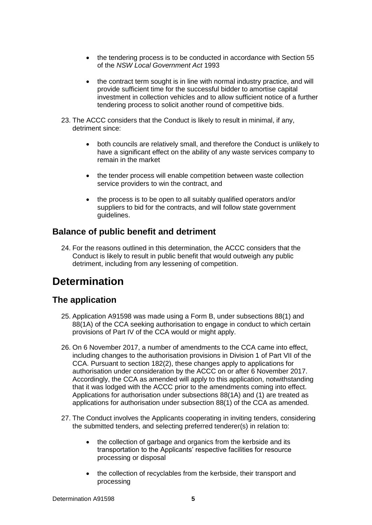- the tendering process is to be conducted in accordance with Section 55 of the *NSW Local Government Act* 1993
- the contract term sought is in line with normal industry practice, and will provide sufficient time for the successful bidder to amortise capital investment in collection vehicles and to allow sufficient notice of a further tendering process to solicit another round of competitive bids.
- 23. The ACCC considers that the Conduct is likely to result in minimal, if any, detriment since:
	- both councils are relatively small, and therefore the Conduct is unlikely to have a significant effect on the ability of any waste services company to remain in the market
	- the tender process will enable competition between waste collection service providers to win the contract, and
	- the process is to be open to all suitably qualified operators and/or suppliers to bid for the contracts, and will follow state government guidelines.

#### **Balance of public benefit and detriment**

24. For the reasons outlined in this determination, the ACCC considers that the Conduct is likely to result in public benefit that would outweigh any public detriment, including from any lessening of competition.

# **Determination**

#### **The application**

- 25. Application A91598 was made using a Form B, under subsections 88(1) and 88(1A) of the CCA seeking authorisation to engage in conduct to which certain provisions of Part IV of the CCA would or might apply.
- 26. On 6 November 2017, a number of amendments to the CCA came into effect, including changes to the authorisation provisions in Division 1 of Part VII of the CCA. Pursuant to section 182(2), these changes apply to applications for authorisation under consideration by the ACCC on or after 6 November 2017. Accordingly, the CCA as amended will apply to this application, notwithstanding that it was lodged with the ACCC prior to the amendments coming into effect. Applications for authorisation under subsections 88(1A) and (1) are treated as applications for authorisation under subsection 88(1) of the CCA as amended.
- 27. The Conduct involves the Applicants cooperating in inviting tenders, considering the submitted tenders, and selecting preferred tenderer(s) in relation to:
	- the collection of garbage and organics from the kerbside and its transportation to the Applicants' respective facilities for resource processing or disposal
	- the collection of recyclables from the kerbside, their transport and processing